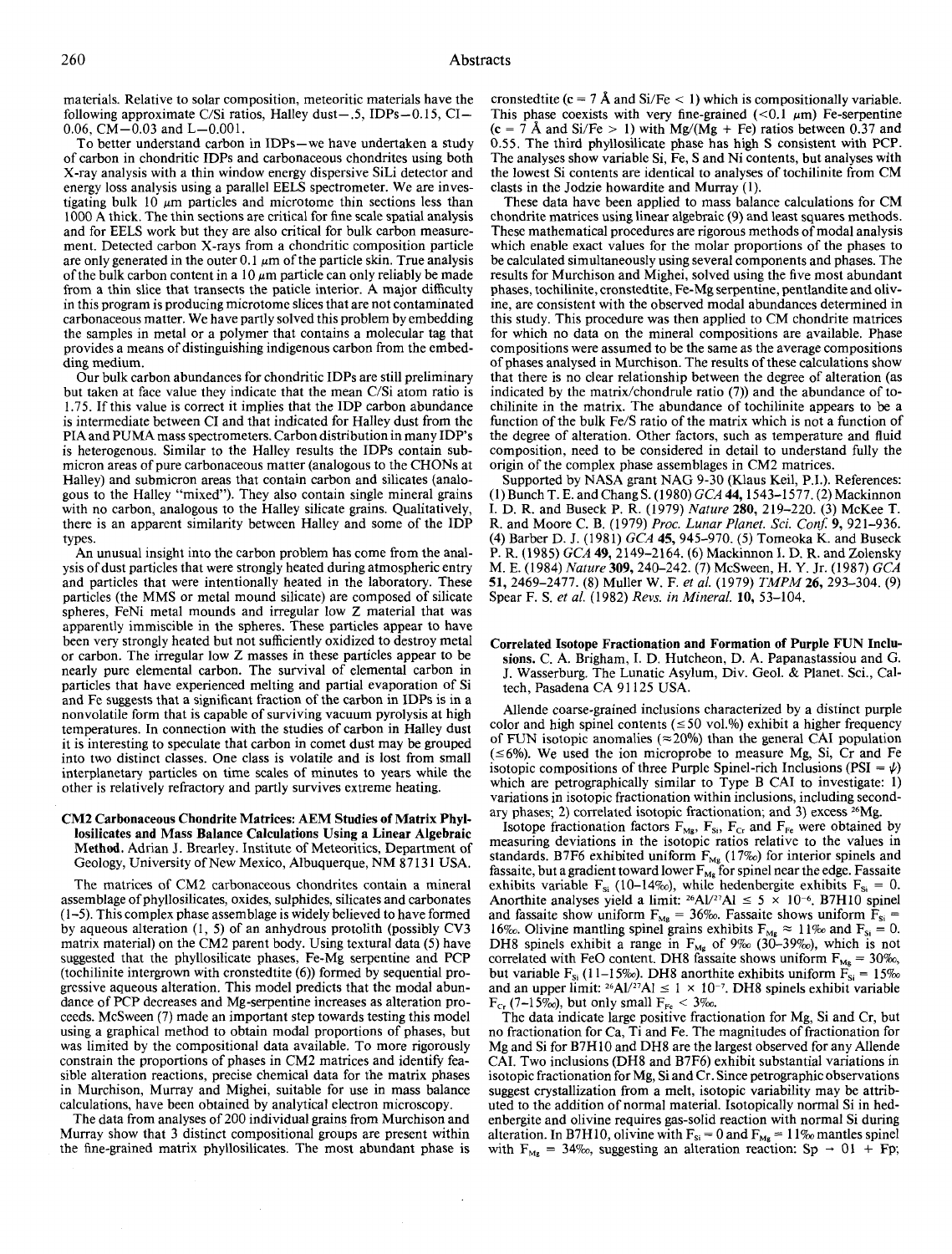materials. Relative to solar composition, meteoritic materials have the following approximate C/Si ratios, Halley dust-.5, IDPs-0.15, CI-0.06,  $CM - 0.03$  and  $L - 0.001$ .

To better understand carbon in IDPs-we have undertaken a study of carbon in chondritic IDPs and carbonaceous chondrites using both X-ray analysis with a thin window energy dispersive SiLi detector and energy loss analysis using a parallel EELS spectrometer. We are investigating bulk 10  $\mu$ m particles and microtome thin sections less than 1000 A thick. The thin sections are critical for fine scale spatial analysis and for EELS work but they are also critical for bulk carbon measurement. Detected carbon X-rays from a chondritic composition particle are only generated in the outer 0.1  $\mu$ m of the particle skin. True analysis of the bulk carbon content in a 10  $\mu$ m particle can only reliably be made from a thin slice that transects the paticle interior. A major difficulty in this program is producing microtome slices that are not contaminated carbonaceous matter. We have partly solved this problem by embedding the samples in metal or a polymer that contains a molecular tag that provides a means of distinguishing indigenous carbon from the embedding medium.

Our bulk carbon abundances for chondritic IDPs are still preliminary but taken at face value they indicate that the mean C/Si atom ratio is 1.75. If this value is correct it implies that the IDP carbon abundance is intermediate between CI and that indicated for Halley dust from the PIA and PUMA mass spectrometers. Carbon distribution in many IDP's is heterogenous. Similar to the Halley results the IDPs contain submicron areas of pure carbonaceous matter (analogous to the CHONs at Halley) and submicron areas that contain carbon and silicates (analogous to the Halley "mixed"). They also contain single mineral grains with no carbon, analogous to the Halley silicate grains. Qualitatively, there is an apparent similarity between Halley and some of the IDP types.

An unusual insight into the carbon problem has come from the analysis of dust particles that were strongly heated during atmospheric entry and particles that were intentionally heated in the laboratory. These particles (the MMS or metal mound silicate) are composed of silicate spheres, FeNi metal mounds and irregular low Z material that was apparently immiscible in the spheres. These particles appear to have been very strongly heated but not sufficiently oxidized to destroy metal or carbon. The irregular low Z masses in these particles appear to be nearly pure elemental carbon. The survival of elemental carbon in particles that have experienced melting and partial evaporation of Si and Fe suggests that a significant fraction of the carbon in IDPs is in a nonvolatile form that is capable of surviving vacuum pyrolysis at high temperatures. In connection with the studies of carbon in Halley dust it is interesting to speculate that carbon in comet dust may be grouped into two distinct classes. One class is volatile and is lost from small interplanetary particles on time scales of minutes to years while the other is relatively refractory and partly survives extreme heating.

## CM2 Carbonaceous Chondrite Matrices: AEM Studies of Matrix Phyllosilicates and Mass Balance Calculations Using a Linear Algebraic Method. Adrian J. Brearley. Institute of Meteoritics, Department of Geology, University of New Mexico, Albuquerque, NM 87131 USA.

The matrices of CM2 carbonaceous chondrites contain a mineral assemblage of phyllosilicates, oxides, sulphides, silicates and carbonates ( 1-5). This complex phase assemblage is widely believed to have formed by aqueous alteration (I, 5) of an anhydrous protolith (possibly CV3 matrix material) on the CM2 parent body. Using textural data (5) have suggested that the phyllosilicate phases, Fe-Mg serpentine and PCP (tochilinite intergrown with cronstedtite (6)) formed by sequential progressive aqueous alteration. This model predicts that the modal abundance of PCP decreases and Mg-serpentine increases as alteration proceeds. McSween (7) made an important step towards testing this model using a graphical method to obtain modal proportions of phases, but was limited by the compositional data available. To more rigorously constrain the proportions of phases in CM2 matrices and identify feasible alteration reactions, precise chemical data for the matrix phases in Murchison, Murray and Mighei, suitable for use in mass balance calculations, have been obtained by analytical electron microscopy.

The data from analyses of 200 individual grains from Murchison and Murray show that 3 distinct compositional groups are present within the fine-grained matrix phyllosilicates. The most abundant phase is

 $\ddot{\phantom{a}}$ 

cronstedtite (c = 7 Å and Si/Fe  $\lt$  1) which is compositionally variable. This phase coexists with very fine-grained ( $< 0.1 \mu m$ ) Fe-serpentine  $(c = 7 \text{ Å}$  and Si/Fe > 1) with Mg/(Mg + Fe) ratios between 0.37 and 0.55. The third phyllosilicate phase has high S consistent with PCP. The analyses show variable Si, Fe, S and Ni contents, but analyses with the lowest Si contents are identical to analyses of tochilinite from CM clasts in the Jodzie howardite and Murray (1).

These data have been applied to mass balance calculations for CM chondrite matrices using linear algebraic (9) and least squares methods. These mathematical procedures are rigorous methods of modal analysis which enable exact values for the molar proportions of the phases to be calculated simultaneously using several components and phases. The results for Murchison and Mighei, solved using the five most abundant phases, tochilinite, cronstedtite, Fe-Mg serpentine, pentlandite and olivine, are consistent with the observed modal abundances determined in this study. This procedure was then applied to CM chondrite matrices for which no data on the mineral compositions are available. Phase compositions were assumed to be the same as the average compositions of phases analysed in Murchison. The results of these calculations show that there is no clear relationship between the degree of alteration (as indicated by the matrix/chondrule ratio (7)) and the abundance of tochilinite in the matrix. The abundance of tochilinite appears to be a function of the bulk Fe/S ratio of the matrix which is not a function of the degree of alteration. Other factors, such as temperature and fluid composition, need to be considered in detail to understand fully the origin of the complex phase assemblages in CM2 matrices.

Supported by NASA grant NAG 9-30 (Klaus Keil, P.I.). References: (!)Bunch T. E. andChangS. (1980) *GCA* 44, 1543-1577. (2)Mackinnon I. D. R. and Buseck P.R. (1979) *Nature* 280, 219-220. (3) McKee T. R. and Moore C. B. (1979) *Proc. Lunar Planet. Sci. Conf* 9, 921-9 36. (4) Barber D. J. (1981) *GCA* 45, 945-970. (5) Tomeoka K. and Buseck P. R. (1985) *GCA* 49, 2149-2164. (6) Mackinnon I. D. R. and Zolensky M. E. (1984) *Nature* 309, 240-242. (7) McSween, H. Y. Jr. (1987) *GCA*  51, 2469-2477. (8) Muller W. F. *eta!.* (1979) *TMPM* 26, 293-304. (9) Spear F. S. *eta!.* (1982) *Revs. in Mineral.* 10, 53-104.

## Correlated Isotope Fractionation and Formation of Purple FUN Inclusions. C. A. Brigham, I. D. Hutcheon, D. A. Papanastassiou and G. J. Wasserburg. The Lunatic Asylum, Div. Geol. & Planet. Sci., Caltech, Pasadena CA 91125 USA.

Allende coarse-grained inclusions characterized by a distinct purple color and high spinel contents ( $\leq$ 50 vol.%) exhibit a higher frequency of FUN isotopic anomalies ( $\approx$  20%) than the general CAI population  $(\leq 6\%)$ . We used the ion microprobe to measure Mg, Si, Cr and Fe isotopic compositions of three Purple Spinel-rich Inclusions (PSI =  $\psi$ ) which are petrographically similar to Type B CAI to investigate: 1) variations in isotopic fractionation within inclusions, including secondary phases; 2) correlated isotopic fractionation; and 3) excess 26Mg.

Isotope fractionation factors  $F_{Mg}$ ,  $F_{Si}$ ,  $F_{Cr}$  and  $F_{Fe}$  were obtained by measuring deviations in the isotopic ratios relative to the values in standards. B7F6 exhibited uniform  $F_{Mg}$  (17%) for interior spinels and fassaite, but a gradient toward lower  $F_{Mg}$  for spinel near the edge. Fassaite exhibits variable  $F_{si}$  (10-14%), while hedenbergite exhibits  $F_{si} = 0$ . Anorthite analyses yield a limit:  $^{26}Al/^{27}Al \leq 5 \times 10^{-6}$ . B7H10 spinel and fassaite show uniform  $F_{Mg} = 36\%$ . Fassaite shows uniform  $F_{Si} =$ 16‰. Olivine mantling spinel grains exhibits  $F_{Mg} \approx 11\%$  and  $F_{Si} = 0$ . DH8 spinels exhibit a range in  $F_{Mg}$  of 9‰ (30-39‰), which is not correlated with FeO content. DH8 fassaite shows uniform  $F_{Mg} = 30\%$ , but variable  $F_{si}$  (11–15‰). DH8 anorthite exhibits uniform  $F_{si} = 15%$ and an upper limit: <sup>26</sup>Al/<sup>27</sup>Al  $\leq 1 \times 10^{-7}$ . DH8 spinels exhibit variable  $F_{Cr}$  (7–15‰), but only small  $F_{Fe}$  < 3‰.

The data indicate large positive fractionation for Mg, Si and Cr, but no fractionation for Ca, Ti and Fe. The magnitudes of fractionation for Mg and Si for B7H 10 and DH8 are the largest observed for any Allende CAl. Two inclusions (DH8 and B7F6) exhibit substantial variations in isotopic fractionation for Mg, Si and Cr. Since petrographic observations suggest crystallization from a melt, isotopic variability may be attributed to the addition of normal material. Isotopically normal Si in hedenbergite and olivine requires gas-solid reaction with normal Si during alteration. In B7H10, olivine with  $F_{si} = 0$  and  $F_{Mg} = 11\%$  mantles spinel with  $F_{Mg} = 34\%$ , suggesting an alteration reaction: Sp  $\rightarrow$  01 + Fp;